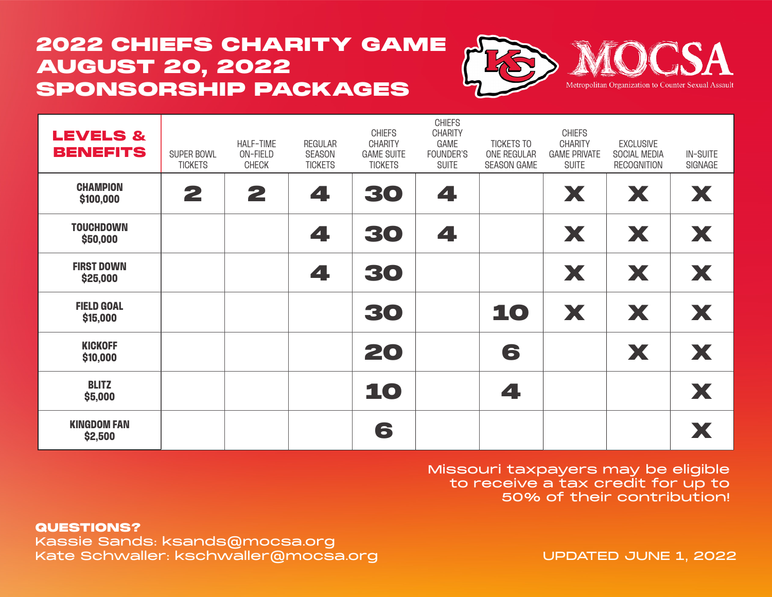## 2022 CHIEFS CHARITY GAME AUGUST 20, 2022 SPONSORSHIP PACKAGES



| <b>LEVELS &amp;</b><br><b>BENEFITS</b> | <b>SUPER BOWL</b><br><b>TICKETS</b> | HALF-TIME<br>ON-FIELD<br><b>CHECK</b> | <b>REGULAR</b><br><b>SEASON</b><br><b>TICKETS</b> | <b>CHIEFS</b><br><b>CHARITY</b><br><b>GAME SUITE</b><br><b>TICKETS</b> | <b>CHIEFS</b><br><b>CHARITY</b><br>GAME<br><b>FOUNDER'S</b><br><b>SUITE</b> | <b>TICKETS TO</b><br><b>ONE REGULAR</b><br><b>SEASON GAME</b> | <b>CHIEFS</b><br><b>CHARITY</b><br><b>GAME PRIVATE</b><br><b>SUITE</b> | <b>EXCLUSIVE</b><br>SOCIAL MEDIA<br><b>RECOGNITION</b> | IN-SUITE<br>SIGNAGE |
|----------------------------------------|-------------------------------------|---------------------------------------|---------------------------------------------------|------------------------------------------------------------------------|-----------------------------------------------------------------------------|---------------------------------------------------------------|------------------------------------------------------------------------|--------------------------------------------------------|---------------------|
| <b>CHAMPION</b><br>\$100,000           | 2                                   | 2                                     | 4                                                 | 30                                                                     | 4                                                                           |                                                               | X                                                                      | X                                                      | X                   |
| <b>TOUCHDOWN</b><br>\$50,000           |                                     |                                       | 4                                                 | 30                                                                     | 4                                                                           |                                                               | X                                                                      | X                                                      | X                   |
| <b>FIRST DOWN</b><br>\$25,000          |                                     |                                       | 4                                                 | 30                                                                     |                                                                             |                                                               | X                                                                      | X                                                      | X                   |
| <b>FIELD GOAL</b><br>\$15,000          |                                     |                                       |                                                   | 30                                                                     |                                                                             | 10                                                            | X                                                                      | X                                                      | X                   |
| <b>KICKOFF</b><br>\$10,000             |                                     |                                       |                                                   | 20                                                                     |                                                                             | 6                                                             |                                                                        | X                                                      | X                   |
| <b>BLITZ</b><br>\$5,000                |                                     |                                       |                                                   | 10                                                                     |                                                                             | 4                                                             |                                                                        |                                                        | X                   |
| <b>KINGDOM FAN</b><br>\$2,500          |                                     |                                       |                                                   | 6                                                                      |                                                                             |                                                               |                                                                        |                                                        |                     |

Missouri taxpayers may be eligible to receive a tax credit for up to 50% of their contribution!

QUESTIONS?

Kassie Sands: ksands@mocsa.org Kate Schwaller: kschwaller@mocsa.org UPDATED JUNE 1, 2022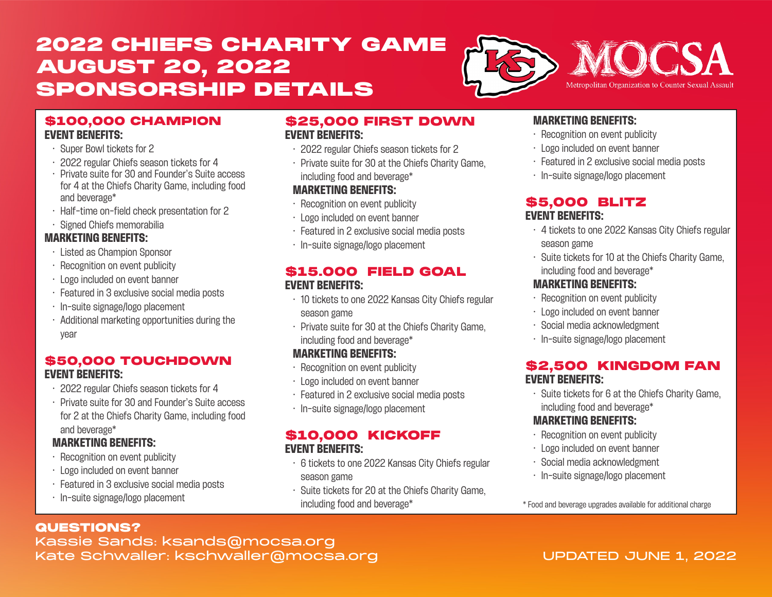# 2022 CHIEFS CHARITY GAME AUGUST 20, 2022 SPONSORSHIP DETAILS



#### \$100,000 CHAMPION **EVENT BENEFITS:**

- Super Bowl tickets for 2
- 2022 regular Chiefs season tickets for 4
- Private suite for 30 and Founder's Suite access for 4 at the Chiefs Charity Game, including food and beverage\*
- Half-time on-field check presentation for 2
- Signed Chiefs memorabilia

### **MARKETING BENEFITS:**

- Listed as Champion Sponsor
- Recognition on event publicity
- Logo included on event banner
- Featured in 3 exclusive social media posts
- In-suite signage/logo placement
- Additional marketing opportunities during the year

## \$50,000 TOUCHDOWN **EVENT BENEFITS:**

- 2022 regular Chiefs season tickets for 4
- Private suite for 30 and Founder's Suite access for 2 at the Chiefs Charity Game, including food and beverage\*

## **MARKETING BENEFITS:**

- Recognition on event publicity
- Logo included on event banner
- Featured in 3 exclusive social media posts
- In-suite signage/logo placement

#### \$25,000 FIRST DOWN **EVENT BENEFITS:**

- 2022 regular Chiefs season tickets for 2
- Private suite for 30 at the Chiefs Charity Game, including food and beverage\*

### **MARKETING BENEFITS:**

- Recognition on event publicity
- Logo included on event banner
- Featured in 2 exclusive social media posts
- In-suite signage/logo placement

## \$15.000 FIELD GOAL **EVENT BENEFITS:**

- 10 tickets to one 2022 Kansas City Chiefs regular season game
- Private suite for 30 at the Chiefs Charity Game, including food and beverage\*

#### **MARKETING BENEFITS:**

- Recognition on event publicity
- Logo included on event banner
- Featured in 2 exclusive social media posts
- In-suite signage/logo placement

## \$10,000 KICKOFF **EVENT BENEFITS:**

- 6 tickets to one 2022 Kansas City Chiefs regular season game
- Suite tickets for 20 at the Chiefs Charity Game, including food and beverage\*

## **MARKETING BENEFITS:**

- Recognition on event publicity
- Logo included on event banner
- Featured in 2 exclusive social media posts
- In-suite signage/logo placement

## \$5,000 BLITZ **EVENT BENEFITS:**

- 4 tickets to one 2022 Kansas City Chiefs regular season game
- Suite tickets for 10 at the Chiefs Charity Game, including food and beverage\*

## **MARKETING BENEFITS:**

- Recognition on event publicity
- Logo included on event banner
- Social media acknowledgment
- In-suite signage/logo placement

## \$2,500 KINGDOM FAN **EVENT BENEFITS:**

• Suite tickets for 6 at the Chiefs Charity Game, including food and beverage\*

#### **MARKETING BENEFITS:**

- Recognition on event publicity
- Logo included on event banner
- Social media acknowledgment
- In-suite signage/logo placement

\* Food and beverage upgrades available for additional charge

QUESTIONS? Kassie Sands: ksands@mocsa.org Kate Schwaller: kschwaller@mocsa.org UPDATED JUNE 1, 2022